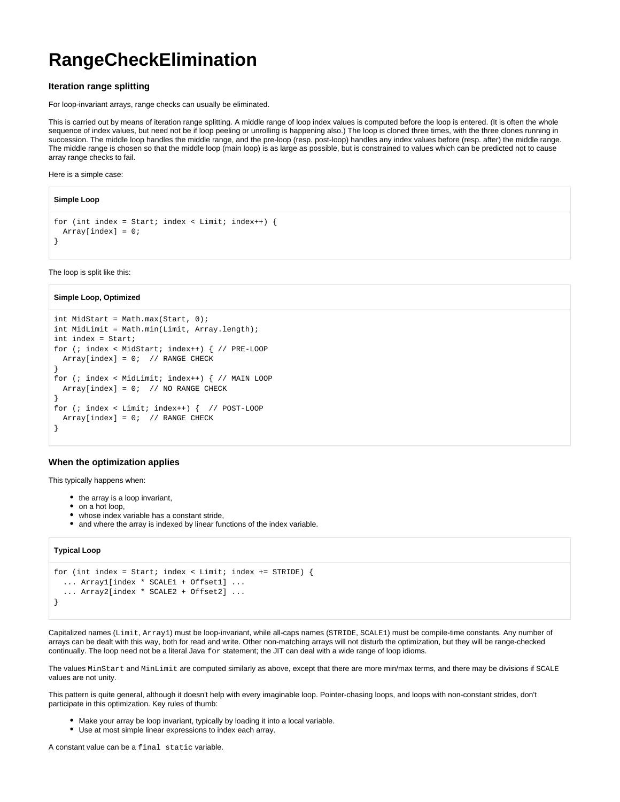# **RangeCheckElimination**

## **Iteration range splitting**

For loop-invariant arrays, range checks can usually be eliminated.

This is carried out by means of iteration range splitting. A middle range of loop index values is computed before the loop is entered. (It is often the whole sequence of index values, but need not be if loop peeling or unrolling is happening also.) The loop is cloned three times, with the three clones running in succession. The middle loop handles the middle range, and the pre-loop (resp. post-loop) handles any index values before (resp. after) the middle range. The middle range is chosen so that the middle loop (main loop) is as large as possible, but is constrained to values which can be predicted not to cause array range checks to fail.

Here is a simple case:

```
Simple Loop
```

```
for (int index = Start; index < Limit; index ++) {
  Array[index] = 0;
}
```
The loop is split like this:

#### **Simple Loop, Optimized**

```
int MidStart = Math.max(Start, 0);
int MidLimit = Math.min(Limit, Array.length);
int index = Start;
for (; index < MidStart; index++) { // PRE-LOOP
 Array[index] = 0; // RMGE CHECK}
for (; index < MidLimit; index++) { // MAIN LOOP
 Array[index] = 0; // NO RANGE CHECK}
for (; index < Limit; index++) { // POST-LOOP
 Array[index] = 0; // RMGE CHECK}
```
## **When the optimization applies**

This typically happens when:

- the array is a loop invariant,
- on a hot loop,
- whose index variable has a constant stride,
- and where the array is indexed by linear functions of the index variable.

### **Typical Loop**

```
for (int index = Start; index < Limit; index += STRIDE) {
   ... Array1[index * SCALE1 + Offset1] ...
   ... Array2[index * SCALE2 + Offset2] ...
}
```
Capitalized names (Limit, Array1) must be loop-invariant, while all-caps names (STRIDE, SCALE1) must be compile-time constants. Any number of arrays can be dealt with this way, both for read and write. Other non-matching arrays will not disturb the optimization, but they will be range-checked continually. The loop need not be a literal Java  $for$  statement; the JIT can deal with a wide range of loop idioms.

The values MinStart and MinLimit are computed similarly as above, except that there are more min/max terms, and there may be divisions if SCALE values are not unity.

This pattern is quite general, although it doesn't help with every imaginable loop. Pointer-chasing loops, and loops with non-constant strides, don't participate in this optimization. Key rules of thumb:

- Make your array be loop invariant, typically by loading it into a local variable.
- Use at most simple linear expressions to index each array.

A constant value can be a final static variable.